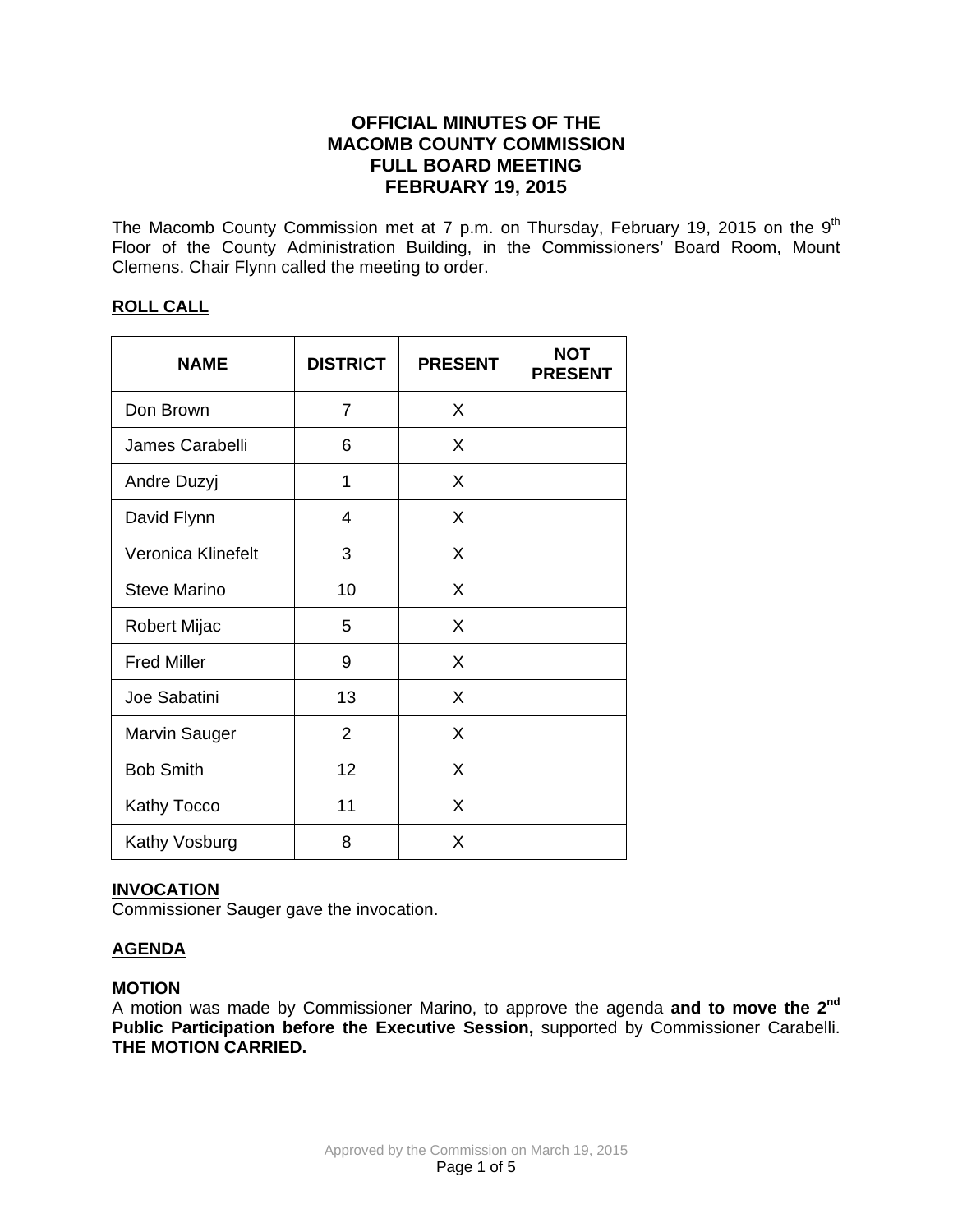# **OFFICIAL MINUTES OF THE MACOMB COUNTY COMMISSION FULL BOARD MEETING FEBRUARY 19, 2015**

The Macomb County Commission met at 7 p.m. on Thursday, February 19, 2015 on the  $9<sup>th</sup>$ Floor of the County Administration Building, in the Commissioners' Board Room, Mount Clemens. Chair Flynn called the meeting to order.

## **ROLL CALL**

| <b>NAME</b>          | <b>DISTRICT</b> | <b>PRESENT</b> | <b>NOT</b><br><b>PRESENT</b> |
|----------------------|-----------------|----------------|------------------------------|
| Don Brown            | 7               | X              |                              |
| James Carabelli      | 6               | X              |                              |
| Andre Duzyj          | 1               | X              |                              |
| David Flynn          | 4               | X              |                              |
| Veronica Klinefelt   | 3               | X              |                              |
| Steve Marino         | 10              | X              |                              |
| Robert Mijac         | 5               | X              |                              |
| <b>Fred Miller</b>   | 9               | X              |                              |
| Joe Sabatini         | 13              | X              |                              |
| <b>Marvin Sauger</b> | $\overline{2}$  | X              |                              |
| <b>Bob Smith</b>     | 12              | X              |                              |
| <b>Kathy Tocco</b>   | 11              | X              |                              |
| Kathy Vosburg        | 8               | X              |                              |

## **INVOCATION**

Commissioner Sauger gave the invocation.

# **AGENDA**

## **MOTION**

A motion was made by Commissioner Marino, to approve the agenda **and to move the 2nd Public Participation before the Executive Session,** supported by Commissioner Carabelli. **THE MOTION CARRIED.**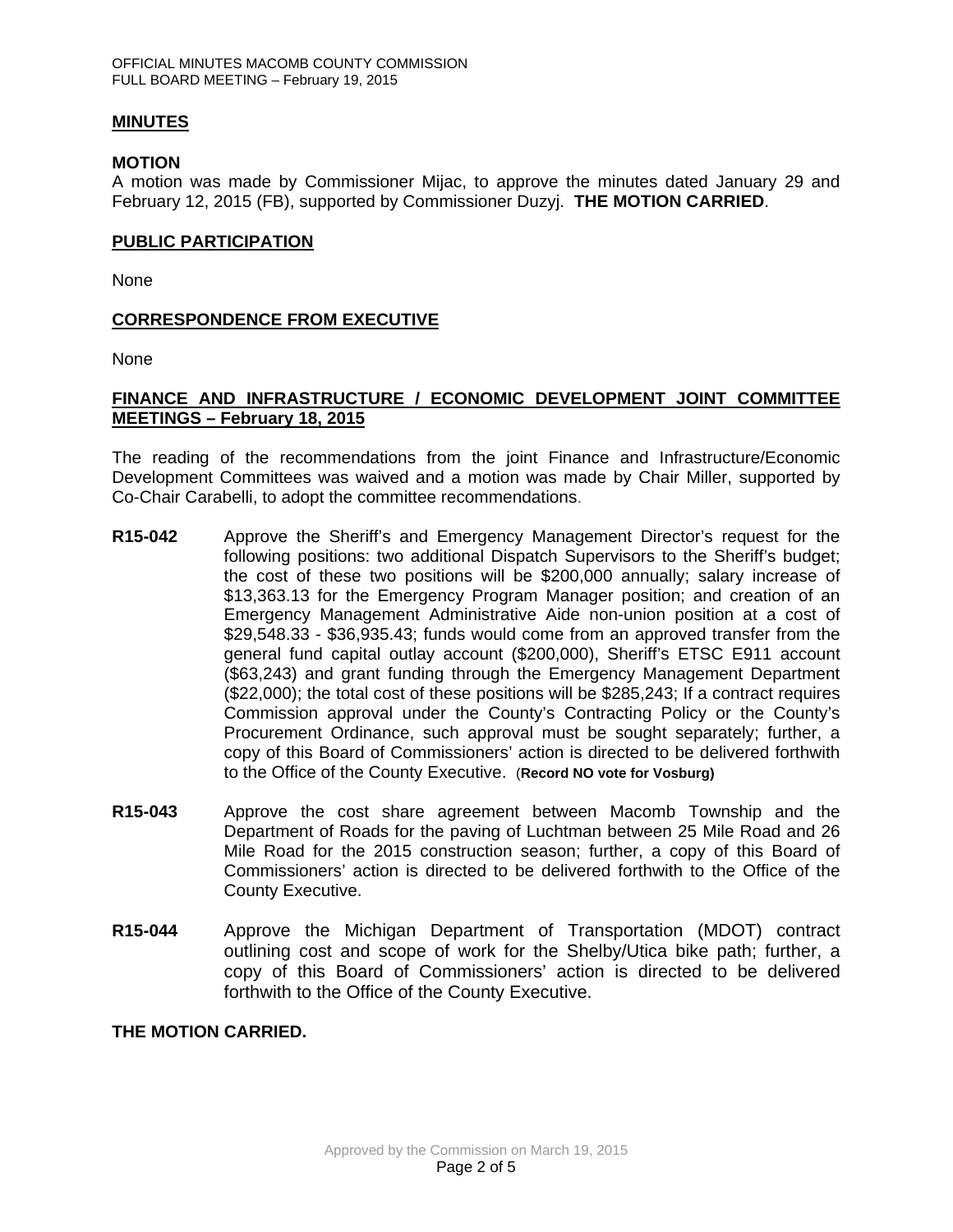#### **MINUTES**

#### **MOTION**

A motion was made by Commissioner Mijac, to approve the minutes dated January 29 and February 12, 2015 (FB), supported by Commissioner Duzyj. **THE MOTION CARRIED**.

#### **PUBLIC PARTICIPATION**

None

### **CORRESPONDENCE FROM EXECUTIVE**

None

### **FINANCE AND INFRASTRUCTURE / ECONOMIC DEVELOPMENT JOINT COMMITTEE MEETINGS – February 18, 2015**

The reading of the recommendations from the joint Finance and Infrastructure/Economic Development Committees was waived and a motion was made by Chair Miller, supported by Co-Chair Carabelli, to adopt the committee recommendations.

- **R15-042** Approve the Sheriff's and Emergency Management Director's request for the following positions: two additional Dispatch Supervisors to the Sheriff's budget; the cost of these two positions will be \$200,000 annually; salary increase of \$13,363.13 for the Emergency Program Manager position; and creation of an Emergency Management Administrative Aide non-union position at a cost of \$29,548.33 - \$36,935.43; funds would come from an approved transfer from the general fund capital outlay account (\$200,000), Sheriff's ETSC E911 account (\$63,243) and grant funding through the Emergency Management Department (\$22,000); the total cost of these positions will be \$285,243; If a contract requires Commission approval under the County's Contracting Policy or the County's Procurement Ordinance, such approval must be sought separately; further, a copy of this Board of Commissioners' action is directed to be delivered forthwith to the Office of the County Executive. (**Record NO vote for Vosburg)**
- **R15-043** Approve the cost share agreement between Macomb Township and the Department of Roads for the paving of Luchtman between 25 Mile Road and 26 Mile Road for the 2015 construction season; further, a copy of this Board of Commissioners' action is directed to be delivered forthwith to the Office of the County Executive.
- **R15-044** Approve the Michigan Department of Transportation (MDOT) contract outlining cost and scope of work for the Shelby/Utica bike path; further, a copy of this Board of Commissioners' action is directed to be delivered forthwith to the Office of the County Executive.

**THE MOTION CARRIED.**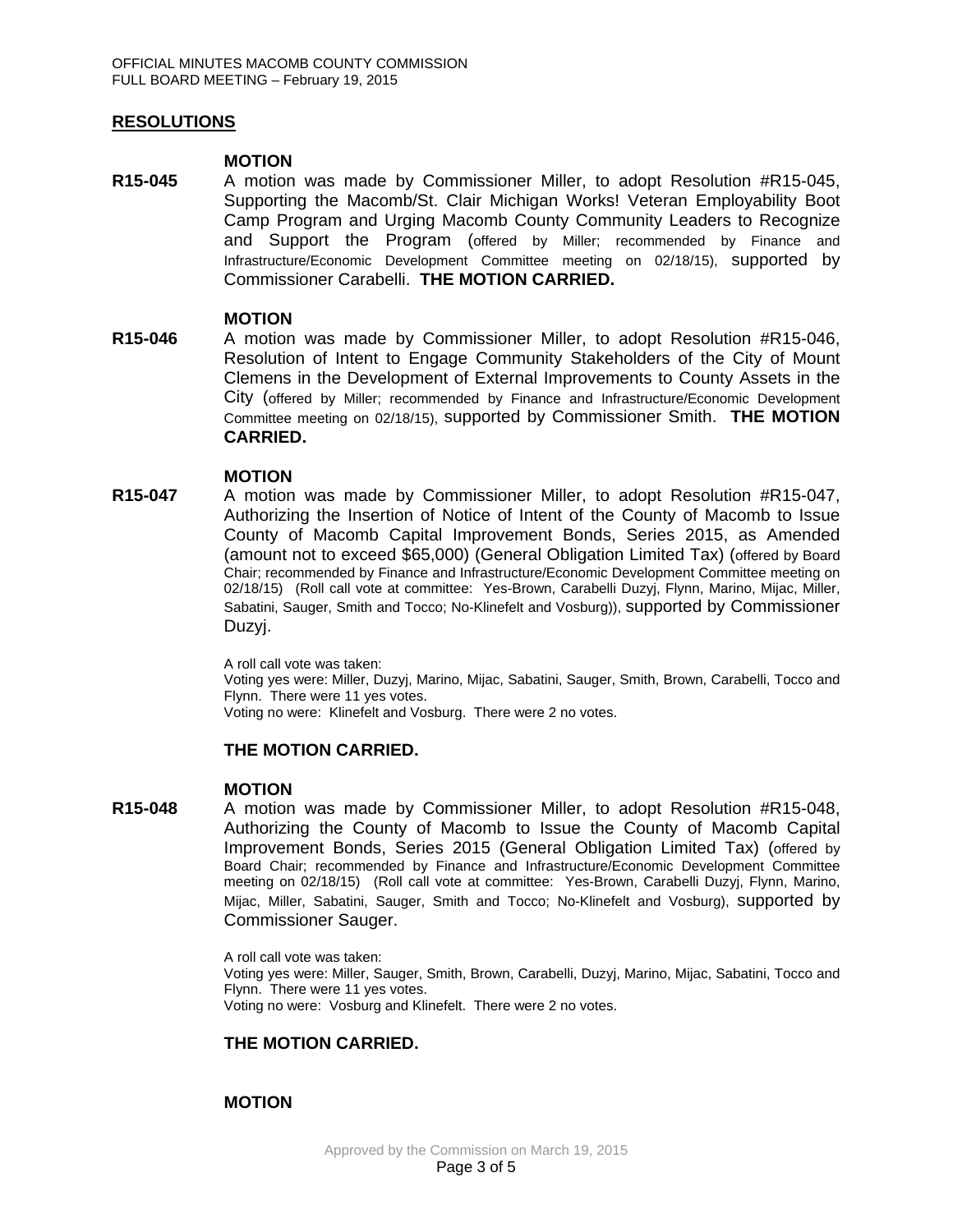### **RESOLUTIONS**

#### **MOTION**

**R15-045** A motion was made by Commissioner Miller, to adopt Resolution #R15-045, Supporting the Macomb/St. Clair Michigan Works! Veteran Employability Boot Camp Program and Urging Macomb County Community Leaders to Recognize and Support the Program (offered by Miller; recommended by Finance and Infrastructure/Economic Development Committee meeting on 02/18/15), supported by Commissioner Carabelli. **THE MOTION CARRIED.**

#### **MOTION**

**R15-046** A motion was made by Commissioner Miller, to adopt Resolution #R15-046, Resolution of Intent to Engage Community Stakeholders of the City of Mount Clemens in the Development of External Improvements to County Assets in the City (offered by Miller; recommended by Finance and Infrastructure/Economic Development Committee meeting on 02/18/15), supported by Commissioner Smith. **THE MOTION CARRIED.** 

#### **MOTION**

**R15-047** A motion was made by Commissioner Miller, to adopt Resolution #R15-047, Authorizing the Insertion of Notice of Intent of the County of Macomb to Issue County of Macomb Capital Improvement Bonds, Series 2015, as Amended (amount not to exceed \$65,000) (General Obligation Limited Tax) (offered by Board Chair; recommended by Finance and Infrastructure/Economic Development Committee meeting on 02/18/15) (Roll call vote at committee: Yes-Brown, Carabelli Duzyj, Flynn, Marino, Mijac, Miller, Sabatini, Sauger, Smith and Tocco; No-Klinefelt and Vosburg)), supported by Commissioner Duzyj.

> A roll call vote was taken: Voting yes were: Miller, Duzyj, Marino, Mijac, Sabatini, Sauger, Smith, Brown, Carabelli, Tocco and Flynn. There were 11 yes votes. Voting no were: Klinefelt and Vosburg. There were 2 no votes.

#### **THE MOTION CARRIED.**

#### **MOTION**

**R15-048** A motion was made by Commissioner Miller, to adopt Resolution #R15-048, Authorizing the County of Macomb to Issue the County of Macomb Capital Improvement Bonds, Series 2015 (General Obligation Limited Tax) (offered by Board Chair; recommended by Finance and Infrastructure/Economic Development Committee meeting on 02/18/15) (Roll call vote at committee: Yes-Brown, Carabelli Duzyj, Flynn, Marino, Mijac, Miller, Sabatini, Sauger, Smith and Tocco; No-Klinefelt and Vosburg), supported by Commissioner Sauger.

> A roll call vote was taken: Voting yes were: Miller, Sauger, Smith, Brown, Carabelli, Duzyj, Marino, Mijac, Sabatini, Tocco and Flynn. There were 11 yes votes. Voting no were: Vosburg and Klinefelt. There were 2 no votes.

## **THE MOTION CARRIED.**

## **MOTION**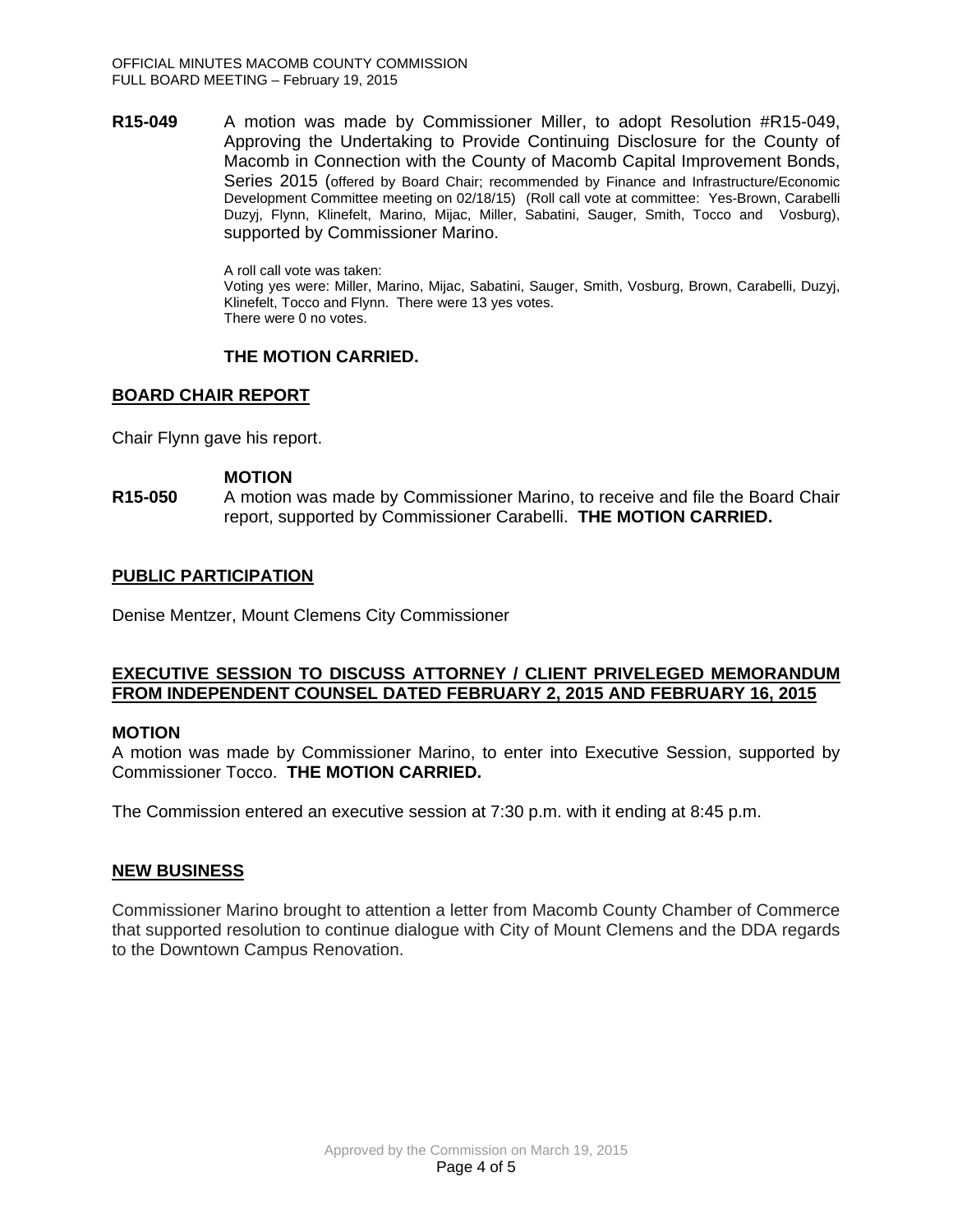**R15-049** A motion was made by Commissioner Miller, to adopt Resolution #R15-049, Approving the Undertaking to Provide Continuing Disclosure for the County of Macomb in Connection with the County of Macomb Capital Improvement Bonds, Series 2015 (offered by Board Chair; recommended by Finance and Infrastructure/Economic Development Committee meeting on 02/18/15) (Roll call vote at committee: Yes-Brown, Carabelli Duzyj, Flynn, Klinefelt, Marino, Mijac, Miller, Sabatini, Sauger, Smith, Tocco and Vosburg), supported by Commissioner Marino.

> A roll call vote was taken: Voting yes were: Miller, Marino, Mijac, Sabatini, Sauger, Smith, Vosburg, Brown, Carabelli, Duzyj, Klinefelt, Tocco and Flynn. There were 13 yes votes. There were 0 no votes.

## **THE MOTION CARRIED.**

## **BOARD CHAIR REPORT**

Chair Flynn gave his report.

#### **MOTION**

**R15-050** A motion was made by Commissioner Marino, to receive and file the Board Chair report, supported by Commissioner Carabelli. **THE MOTION CARRIED.**

## **PUBLIC PARTICIPATION**

Denise Mentzer, Mount Clemens City Commissioner

### **EXECUTIVE SESSION TO DISCUSS ATTORNEY / CLIENT PRIVELEGED MEMORANDUM FROM INDEPENDENT COUNSEL DATED FEBRUARY 2, 2015 AND FEBRUARY 16, 2015**

#### **MOTION**

A motion was made by Commissioner Marino, to enter into Executive Session, supported by Commissioner Tocco. **THE MOTION CARRIED.**

The Commission entered an executive session at 7:30 p.m. with it ending at 8:45 p.m.

## **NEW BUSINESS**

Commissioner Marino brought to attention a letter from Macomb County Chamber of Commerce that supported resolution to continue dialogue with City of Mount Clemens and the DDA regards to the Downtown Campus Renovation.